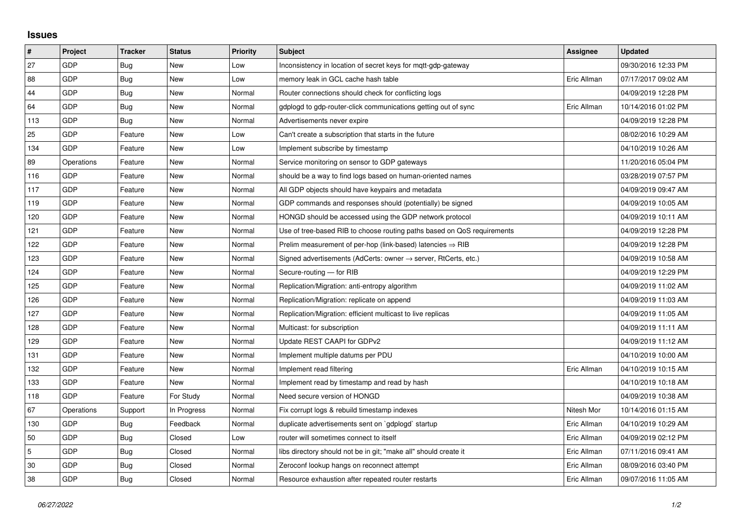## **Issues**

| #   | Project    | <b>Tracker</b> | <b>Status</b> | <b>Priority</b> | <b>Subject</b>                                                          | Assignee    | <b>Updated</b>      |
|-----|------------|----------------|---------------|-----------------|-------------------------------------------------------------------------|-------------|---------------------|
| 27  | GDP        | Bug            | <b>New</b>    | Low             | Inconsistency in location of secret keys for mqtt-gdp-gateway           |             | 09/30/2016 12:33 PM |
| 88  | GDP        | <b>Bug</b>     | New           | Low             | memory leak in GCL cache hash table                                     | Eric Allman | 07/17/2017 09:02 AM |
| 44  | GDP        | Bug            | New           | Normal          | Router connections should check for conflicting logs                    |             | 04/09/2019 12:28 PM |
| 64  | GDP        | <b>Bug</b>     | New           | Normal          | gdplogd to gdp-router-click communications getting out of sync          | Eric Allman | 10/14/2016 01:02 PM |
| 113 | GDP        | <b>Bug</b>     | <b>New</b>    | Normal          | Advertisements never expire                                             |             | 04/09/2019 12:28 PM |
| 25  | <b>GDP</b> | Feature        | New           | Low             | Can't create a subscription that starts in the future                   |             | 08/02/2016 10:29 AM |
| 134 | GDP        | Feature        | <b>New</b>    | Low             | Implement subscribe by timestamp                                        |             | 04/10/2019 10:26 AM |
| 89  | Operations | Feature        | New           | Normal          | Service monitoring on sensor to GDP gateways                            |             | 11/20/2016 05:04 PM |
| 116 | GDP        | Feature        | New           | Normal          | should be a way to find logs based on human-oriented names              |             | 03/28/2019 07:57 PM |
| 117 | GDP        | Feature        | <b>New</b>    | Normal          | All GDP objects should have keypairs and metadata                       |             | 04/09/2019 09:47 AM |
| 119 | <b>GDP</b> | Feature        | New           | Normal          | GDP commands and responses should (potentially) be signed               |             | 04/09/2019 10:05 AM |
| 120 | GDP        | Feature        | New           | Normal          | HONGD should be accessed using the GDP network protocol                 |             | 04/09/2019 10:11 AM |
| 121 | GDP        | Feature        | New           | Normal          | Use of tree-based RIB to choose routing paths based on QoS requirements |             | 04/09/2019 12:28 PM |
| 122 | GDP        | Feature        | New           | Normal          | Prelim measurement of per-hop (link-based) latencies $\Rightarrow$ RIB  |             | 04/09/2019 12:28 PM |
| 123 | GDP        | Feature        | <b>New</b>    | Normal          | Signed advertisements (AdCerts: owner → server, RtCerts, etc.)          |             | 04/09/2019 10:58 AM |
| 124 | GDP        | Feature        | New           | Normal          | Secure-routing - for RIB                                                |             | 04/09/2019 12:29 PM |
| 125 | <b>GDP</b> | Feature        | New           | Normal          | Replication/Migration: anti-entropy algorithm                           |             | 04/09/2019 11:02 AM |
| 126 | GDP        | Feature        | New           | Normal          | Replication/Migration: replicate on append                              |             | 04/09/2019 11:03 AM |
| 127 | GDP        | Feature        | <b>New</b>    | Normal          | Replication/Migration: efficient multicast to live replicas             |             | 04/09/2019 11:05 AM |
| 128 | GDP        | Feature        | New           | Normal          | Multicast: for subscription                                             |             | 04/09/2019 11:11 AM |
| 129 | GDP        | Feature        | New           | Normal          | Update REST CAAPI for GDPv2                                             |             | 04/09/2019 11:12 AM |
| 131 | GDP        | Feature        | <b>New</b>    | Normal          | Implement multiple datums per PDU                                       |             | 04/10/2019 10:00 AM |
| 132 | <b>GDP</b> | Feature        | New           | Normal          | Implement read filtering                                                | Eric Allman | 04/10/2019 10:15 AM |
| 133 | GDP        | Feature        | <b>New</b>    | Normal          | Implement read by timestamp and read by hash                            |             | 04/10/2019 10:18 AM |
| 118 | GDP        | Feature        | For Study     | Normal          | Need secure version of HONGD                                            |             | 04/09/2019 10:38 AM |
| 67  | Operations | Support        | In Progress   | Normal          | Fix corrupt logs & rebuild timestamp indexes                            | Nitesh Mor  | 10/14/2016 01:15 AM |
| 130 | GDP        | Bug            | Feedback      | Normal          | duplicate advertisements sent on `gdplogd` startup                      | Eric Allman | 04/10/2019 10:29 AM |
| 50  | GDP        | Bug            | Closed        | Low             | router will sometimes connect to itself                                 | Eric Allman | 04/09/2019 02:12 PM |
| 5   | GDP        | <b>Bug</b>     | Closed        | Normal          | libs directory should not be in git; "make all" should create it        | Eric Allman | 07/11/2016 09:41 AM |
| 30  | GDP        | Bug            | Closed        | Normal          | Zeroconf lookup hangs on reconnect attempt                              | Eric Allman | 08/09/2016 03:40 PM |
| 38  | GDP        | Bug            | Closed        | Normal          | Resource exhaustion after repeated router restarts                      | Eric Allman | 09/07/2016 11:05 AM |